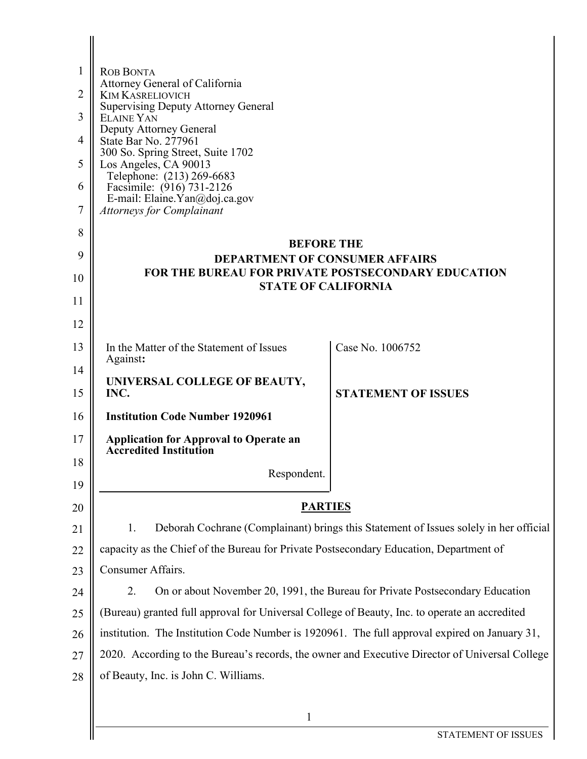| 1              | <b>ROB BONTA</b>                                                                                   |                                                                               |  |
|----------------|----------------------------------------------------------------------------------------------------|-------------------------------------------------------------------------------|--|
|                | Attorney General of California                                                                     |                                                                               |  |
| $\overline{2}$ | <b>KIM KASRELIOVICH</b><br><b>Supervising Deputy Attorney General</b>                              |                                                                               |  |
| 3              | <b>ELAINE YAN</b><br>Deputy Attorney General                                                       |                                                                               |  |
| 4              | State Bar No. 277961                                                                               |                                                                               |  |
| 5              | 300 So. Spring Street, Suite 1702<br>Los Angeles, CA 90013                                         |                                                                               |  |
| 6              | Telephone: (213) 269-6683<br>Facsimile: (916) 731-2126                                             |                                                                               |  |
| 7              | E-mail: Elaine. Yan@doj.ca.gov<br><b>Attorneys for Complainant</b>                                 |                                                                               |  |
| 8              |                                                                                                    |                                                                               |  |
|                | <b>BEFORE THE</b>                                                                                  |                                                                               |  |
| 9              | <b>DEPARTMENT OF CONSUMER AFFAIRS</b><br><b>FOR THE BUREAU FOR PRIVATE POSTSECONDARY EDUCATION</b> |                                                                               |  |
| 10             | <b>STATE OF CALIFORNIA</b>                                                                         |                                                                               |  |
| 11             |                                                                                                    |                                                                               |  |
| 12             |                                                                                                    |                                                                               |  |
| 13             | In the Matter of the Statement of Issues<br>Against:                                               | Case No. 1006752                                                              |  |
| 14             | UNIVERSAL COLLEGE OF BEAUTY,                                                                       |                                                                               |  |
| 15             | INC.                                                                                               | <b>STATEMENT OF ISSUES</b>                                                    |  |
| 16             | <b>Institution Code Number 1920961</b>                                                             |                                                                               |  |
| 17             | <b>Application for Approval to Operate an</b><br><b>Accredited Institution</b>                     |                                                                               |  |
| 18             | Respondent.                                                                                        |                                                                               |  |
| 19             |                                                                                                    |                                                                               |  |
| 20             | <b>PARTIES</b>                                                                                     |                                                                               |  |
| 21             | Deborah Cochrane (Complainant) brings this Statement of Issues solely in her official<br>1.        |                                                                               |  |
| 22             | capacity as the Chief of the Bureau for Private Postsecondary Education, Department of             |                                                                               |  |
| 23             | Consumer Affairs.                                                                                  |                                                                               |  |
| 24             | 2.                                                                                                 | On or about November 20, 1991, the Bureau for Private Postsecondary Education |  |
| 25             | (Bureau) granted full approval for Universal College of Beauty, Inc. to operate an accredited      |                                                                               |  |
| 26             | institution. The Institution Code Number is 1920961. The full approval expired on January 31,      |                                                                               |  |
| 27             | 2020. According to the Bureau's records, the owner and Executive Director of Universal College     |                                                                               |  |
| 28             | of Beauty, Inc. is John C. Williams.                                                               |                                                                               |  |
|                |                                                                                                    |                                                                               |  |

1

Ш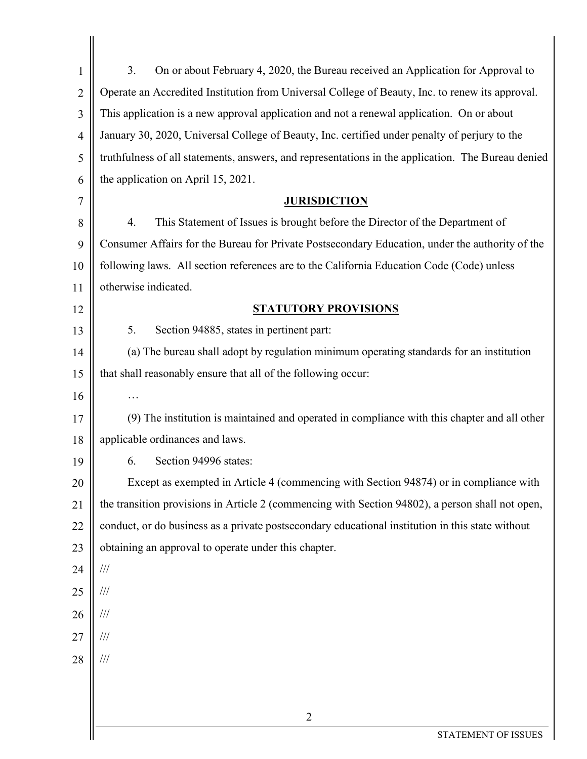| 1              | 3.<br>On or about February 4, 2020, the Bureau received an Application for Approval to             |  |
|----------------|----------------------------------------------------------------------------------------------------|--|
| $\overline{2}$ | Operate an Accredited Institution from Universal College of Beauty, Inc. to renew its approval.    |  |
| 3              | This application is a new approval application and not a renewal application. On or about          |  |
| $\overline{4}$ | January 30, 2020, Universal College of Beauty, Inc. certified under penalty of perjury to the      |  |
| 5              | truthfulness of all statements, answers, and representations in the application. The Bureau denied |  |
| 6              | the application on April 15, 2021.                                                                 |  |
| 7              | <b>JURISDICTION</b>                                                                                |  |
| 8              | This Statement of Issues is brought before the Director of the Department of<br>4.                 |  |
| 9              | Consumer Affairs for the Bureau for Private Postsecondary Education, under the authority of the    |  |
| 10             | following laws. All section references are to the California Education Code (Code) unless          |  |
| 11             | otherwise indicated.                                                                               |  |
| 12             | <b>STATUTORY PROVISIONS</b>                                                                        |  |
| 13             | Section 94885, states in pertinent part:<br>5.                                                     |  |
| 14             | (a) The bureau shall adopt by regulation minimum operating standards for an institution            |  |
| 15             | that shall reasonably ensure that all of the following occur:                                      |  |
| 16             | .                                                                                                  |  |
| 17             | (9) The institution is maintained and operated in compliance with this chapter and all other       |  |
| 18             | applicable ordinances and laws.                                                                    |  |
| 19             | 6. Section 94996 states:                                                                           |  |
| 20             | Except as exempted in Article 4 (commencing with Section 94874) or in compliance with              |  |
| 21             | the transition provisions in Article 2 (commencing with Section 94802), a person shall not open,   |  |
| 22             | conduct, or do business as a private postsecondary educational institution in this state without   |  |
| 23             | obtaining an approval to operate under this chapter.                                               |  |
| 24             | $\frac{1}{1}$                                                                                      |  |
| 25             | $\frac{1}{1}$                                                                                      |  |
| 26             | $\frac{1}{1}$                                                                                      |  |
| 27             | ///                                                                                                |  |
| 28             | ///                                                                                                |  |
|                |                                                                                                    |  |
|                | $\overline{2}$                                                                                     |  |
|                | STATEMENT OF ISSUES                                                                                |  |
|                |                                                                                                    |  |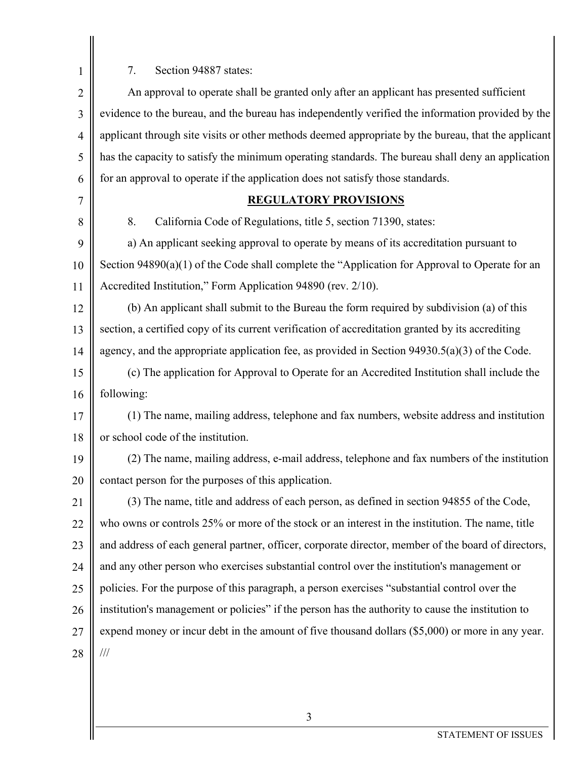$\begin{array}{c|c} \hline 1 & 7. & \text{Section 94887 states:} \end{array}$ 

| $\overline{2}$ | An approval to operate shall be granted only after an applicant has presented sufficient            |  |
|----------------|-----------------------------------------------------------------------------------------------------|--|
| 3              | evidence to the bureau, and the bureau has independently verified the information provided by the   |  |
| $\overline{4}$ | applicant through site visits or other methods deemed appropriate by the bureau, that the applicant |  |
| 5              | has the capacity to satisfy the minimum operating standards. The bureau shall deny an application   |  |
| 6              | for an approval to operate if the application does not satisfy those standards.                     |  |
| 7              | <b>REGULATORY PROVISIONS</b>                                                                        |  |
| 8              | 8.<br>California Code of Regulations, title 5, section 71390, states:                               |  |
| 9              | a) An applicant seeking approval to operate by means of its accreditation pursuant to               |  |
| 10             | Section 94890(a)(1) of the Code shall complete the "Application for Approval to Operate for an      |  |
| 11             | Accredited Institution," Form Application 94890 (rev. 2/10).                                        |  |
| 12             | (b) An applicant shall submit to the Bureau the form required by subdivision (a) of this            |  |
| 13             | section, a certified copy of its current verification of accreditation granted by its accrediting   |  |
| 14             | agency, and the appropriate application fee, as provided in Section $94930.5(a)(3)$ of the Code.    |  |
| 15             | (c) The application for Approval to Operate for an Accredited Institution shall include the         |  |
| 16             | following:                                                                                          |  |
| 17             | (1) The name, mailing address, telephone and fax numbers, website address and institution           |  |
| 18             | or school code of the institution.                                                                  |  |
| 19             | (2) The name, mailing address, e-mail address, telephone and fax numbers of the institution         |  |
| 20             | contact person for the purposes of this application.                                                |  |
| 21             | (3) The name, title and address of each person, as defined in section 94855 of the Code,            |  |
| 22             | who owns or controls 25% or more of the stock or an interest in the institution. The name, title    |  |
| 23             | and address of each general partner, officer, corporate director, member of the board of directors, |  |
| 24             | and any other person who exercises substantial control over the institution's management or         |  |
| 25             | policies. For the purpose of this paragraph, a person exercises "substantial control over the       |  |
| 26             | institution's management or policies" if the person has the authority to cause the institution to   |  |
| 27             | expend money or incur debt in the amount of five thousand dollars $(\$5,000)$ or more in any year.  |  |
| 28             | $/\!/ \!/$                                                                                          |  |
|                |                                                                                                     |  |

3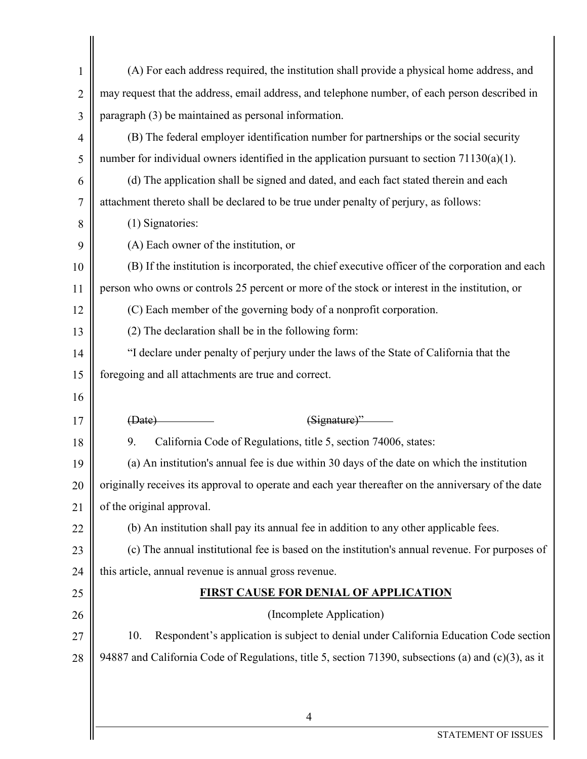| $\mathbf{1}$   | (A) For each address required, the institution shall provide a physical home address, and           |  |
|----------------|-----------------------------------------------------------------------------------------------------|--|
| $\overline{2}$ | may request that the address, email address, and telephone number, of each person described in      |  |
| 3              | paragraph (3) be maintained as personal information.                                                |  |
| 4              | (B) The federal employer identification number for partnerships or the social security              |  |
| 5              | number for individual owners identified in the application pursuant to section $71130(a)(1)$ .      |  |
| 6              | (d) The application shall be signed and dated, and each fact stated therein and each                |  |
| 7              | attachment thereto shall be declared to be true under penalty of perjury, as follows:               |  |
| 8              | (1) Signatories:                                                                                    |  |
| 9              | (A) Each owner of the institution, or                                                               |  |
| 10             | (B) If the institution is incorporated, the chief executive officer of the corporation and each     |  |
| 11             | person who owns or controls 25 percent or more of the stock or interest in the institution, or      |  |
| 12             | (C) Each member of the governing body of a nonprofit corporation.                                   |  |
| 13             | (2) The declaration shall be in the following form:                                                 |  |
| 14             | "I declare under penalty of perjury under the laws of the State of California that the              |  |
| 15             | foregoing and all attachments are true and correct.                                                 |  |
| 16             |                                                                                                     |  |
| 17             | $(Signature)$ "<br>(Bate)                                                                           |  |
| 18             | California Code of Regulations, title 5, section 74006, states:<br>9.                               |  |
| 19             | (a) An institution's annual fee is due within 30 days of the date on which the institution          |  |
| 20             | originally receives its approval to operate and each year thereafter on the anniversary of the date |  |
| 21             | of the original approval.                                                                           |  |
| 22             | (b) An institution shall pay its annual fee in addition to any other applicable fees.               |  |
| 23             | (c) The annual institutional fee is based on the institution's annual revenue. For purposes of      |  |
| 24             | this article, annual revenue is annual gross revenue.                                               |  |
| 25             | <b>FIRST CAUSE FOR DENIAL OF APPLICATION</b>                                                        |  |
| 26             | (Incomplete Application)                                                                            |  |
| 27             | Respondent's application is subject to denial under California Education Code section<br>10.        |  |
| 28             | 94887 and California Code of Regulations, title 5, section 71390, subsections (a) and (c)(3), as it |  |
|                |                                                                                                     |  |